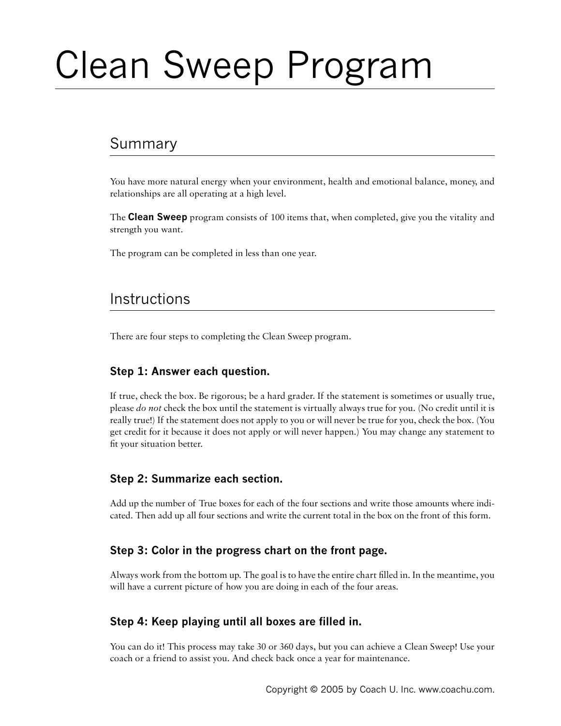# Clean Sweep Program

# Summary

You have more natural energy when your environment, health and emotional balance, money, and relationships are all operating at a high level.

The **Clean Sweep** program consists of 100 items that, when completed, give you the vitality and strength you want.

The program can be completed in less than one year.

## **Instructions**

There are four steps to completing the Clean Sweep program.

#### **Step 1: Answer each question.**

If true, check the box. Be rigorous; be a hard grader. If the statement is sometimes or usually true, please *do not* check the box until the statement is virtually always true for you. (No credit until it is really true!) If the statement does not apply to you or will never be true for you, check the box. (You get credit for it because it does not apply or will never happen.) You may change any statement to fit your situation better.

#### **Step 2: Summarize each section.**

Add up the number of True boxes for each of the four sections and write those amounts where indicated. Then add up all four sections and write the current total in the box on the front of this form.

#### **Step 3: Color in the progress chart on the front page.**

Always work from the bottom up. The goal is to have the entire chart filled in. In the meantime, you will have a current picture of how you are doing in each of the four areas.

#### **Step 4: Keep playing until all boxes are filled in.**

You can do it! This process may take 30 or 360 days, but you can achieve a Clean Sweep! Use your coach or a friend to assist you. And check back once a year for maintenance.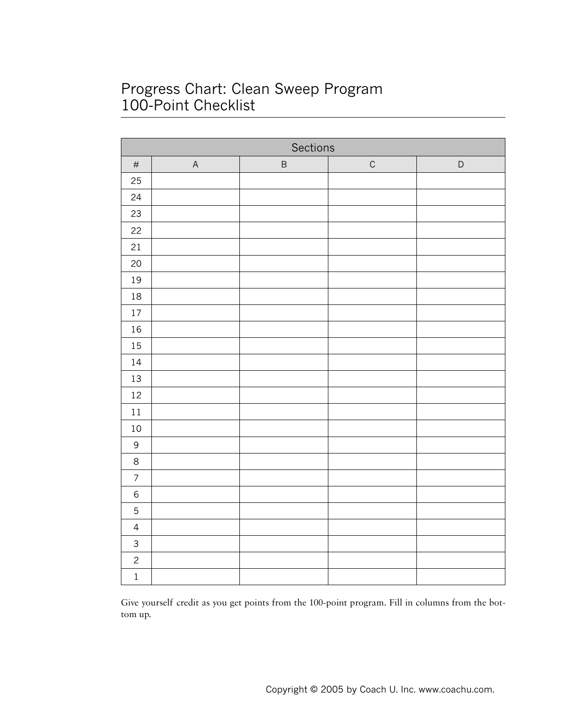# Progress Chart: Clean Sweep Program 100-Point Checklist

| Sections       |             |         |             |             |  |  |  |  |
|----------------|-------------|---------|-------------|-------------|--|--|--|--|
| $\#$           | $\mathsf A$ | $\sf B$ | $\mathsf C$ | $\mathsf D$ |  |  |  |  |
| 25             |             |         |             |             |  |  |  |  |
| 24             |             |         |             |             |  |  |  |  |
| 23             |             |         |             |             |  |  |  |  |
| 22             |             |         |             |             |  |  |  |  |
| 21             |             |         |             |             |  |  |  |  |
| 20             |             |         |             |             |  |  |  |  |
| 19             |             |         |             |             |  |  |  |  |
| $18\,$         |             |         |             |             |  |  |  |  |
| $17\,$         |             |         |             |             |  |  |  |  |
| $16\,$         |             |         |             |             |  |  |  |  |
| $15\,$         |             |         |             |             |  |  |  |  |
| $14\,$         |             |         |             |             |  |  |  |  |
| $13\,$         |             |         |             |             |  |  |  |  |
| $12\,$         |             |         |             |             |  |  |  |  |
| $1\,1$         |             |         |             |             |  |  |  |  |
| $10\,$         |             |         |             |             |  |  |  |  |
| $\mathsf 9$    |             |         |             |             |  |  |  |  |
| $\,8\,$        |             |         |             |             |  |  |  |  |
| $\overline{7}$ |             |         |             |             |  |  |  |  |
| $\epsilon$     |             |         |             |             |  |  |  |  |
| $\mathbf 5$    |             |         |             |             |  |  |  |  |
| $\overline{4}$ |             |         |             |             |  |  |  |  |
| $\mathbf{3}$   |             |         |             |             |  |  |  |  |
| $\overline{c}$ |             |         |             |             |  |  |  |  |
| $\,1$          |             |         |             |             |  |  |  |  |

Give yourself credit as you get points from the 100-point program. Fill in columns from the bottom up.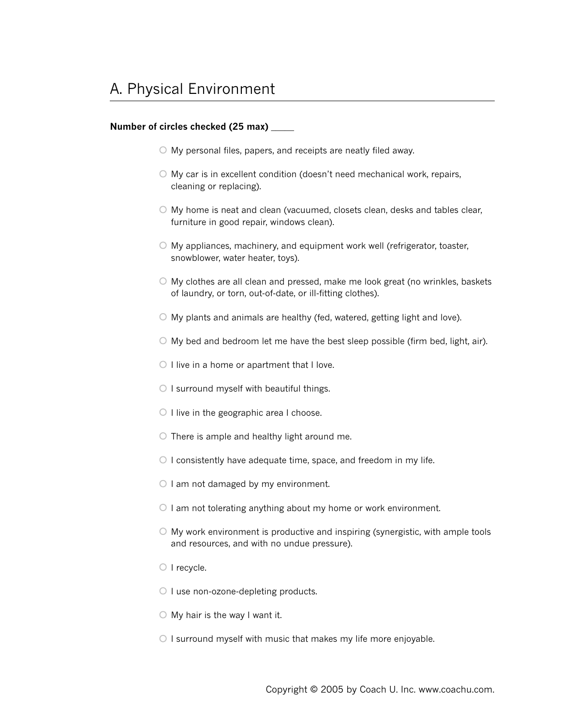- My personal files, papers, and receipts are neatly filed away.
- $\circ$  My car is in excellent condition (doesn't need mechanical work, repairs, cleaning or replacing).
- My home is neat and clean (vacuumed, closets clean, desks and tables clear, furniture in good repair, windows clean).
- My appliances, machinery, and equipment work well (refrigerator, toaster, snowblower, water heater, toys).
- My clothes are all clean and pressed, make me look great (no wrinkles, baskets of laundry, or torn, out-of-date, or ill-fitting clothes).
- My plants and animals are healthy (fed, watered, getting light and love).
- $\circ$  My bed and bedroom let me have the best sleep possible (firm bed, light, air).
- $\circ$  I live in a home or apartment that I love.
- $\bigcirc$  I surround myself with beautiful things.
- $\circ$  I live in the geographic area I choose.
- $\circ$  There is ample and healthy light around me.
- $\circ$  I consistently have adequate time, space, and freedom in my life.
- $\circ$  I am not damaged by my environment.
- $\circ$  I am not tolerating anything about my home or work environment.
- $\circ$  My work environment is productive and inspiring (synergistic, with ample tools and resources, and with no undue pressure).
- $\circ$  I recycle.
- $\circ$  I use non-ozone-depleting products.
- $\bigcirc$  My hair is the way I want it.
- $\circ$  I surround myself with music that makes my life more enjoyable.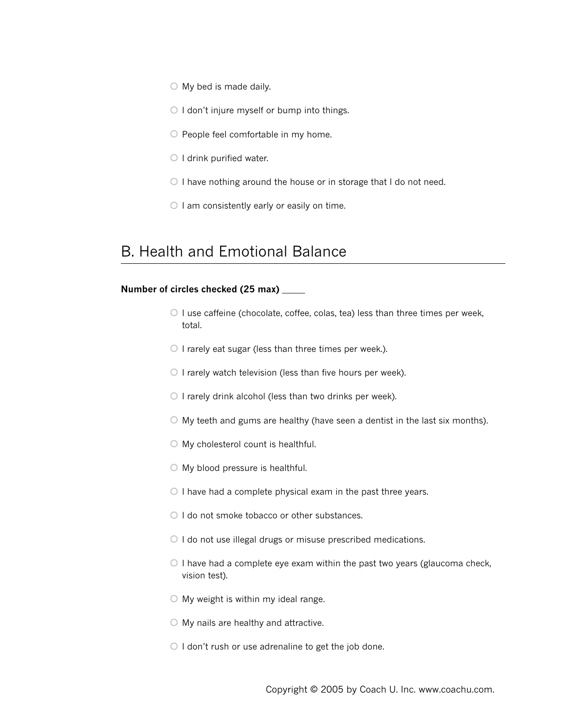- $\circ$  My bed is made daily.
- $\circ$  I don't injure myself or bump into things.
- O People feel comfortable in my home.
- $\bigcirc$  I drink purified water.
- $\circ$  I have nothing around the house or in storage that I do not need.
- $\circ$  I am consistently early or easily on time.

# B. Health and Emotional Balance

- $\circ$  I use caffeine (chocolate, coffee, colas, tea) less than three times per week, total.
- $\circ$  I rarely eat sugar (less than three times per week.).
- $\circ$  I rarely watch television (less than five hours per week).
- $\circ$  I rarely drink alcohol (less than two drinks per week).
- $\circ$  My teeth and gums are healthy (have seen a dentist in the last six months).
- $\bigcirc$  My cholesterol count is healthful.
- My blood pressure is healthful.
- $\circ$  I have had a complete physical exam in the past three years.
- O I do not smoke tobacco or other substances.
- $\circ$  I do not use illegal drugs or misuse prescribed medications.
- $\circ$  I have had a complete eye exam within the past two years (glaucoma check, vision test).
- $\circ$  My weight is within my ideal range.
- $\bigcirc$  My nails are healthy and attractive.
- $\circ$  I don't rush or use adrenaline to get the job done.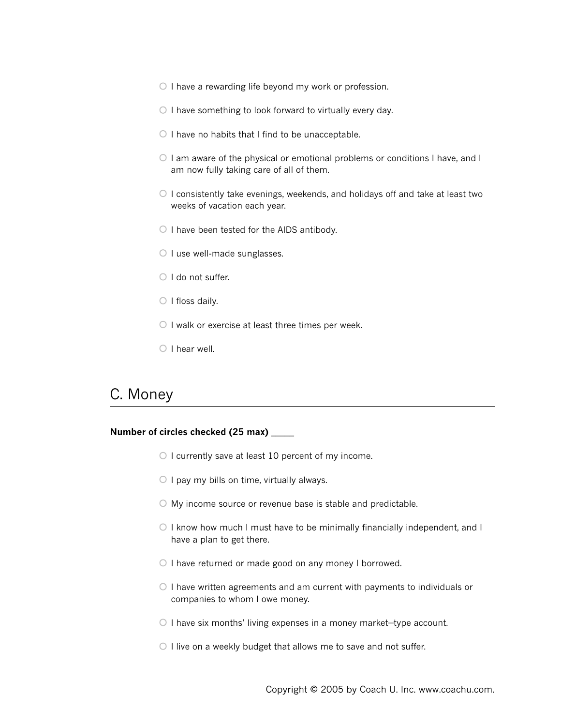- $\circ$  I have a rewarding life beyond my work or profession.
- $\circ$  I have something to look forward to virtually every day.
- $\circ$  I have no habits that I find to be unacceptable.
- O I am aware of the physical or emotional problems or conditions I have, and I am now fully taking care of all of them.
- $\circ$  I consistently take evenings, weekends, and holidays off and take at least two weeks of vacation each year.
- $\circ$  I have been tested for the AIDS antibody.
- $\circ$  I use well-made sunglasses.
- O I do not suffer.
- $\bigcirc$  I floss daily.
- $\circ$  I walk or exercise at least three times per week.
- $\circ$  I hear well.

## C. Money

- $\circ$  I currently save at least 10 percent of my income.
- $\circ$  I pay my bills on time, virtually always.
- My income source or revenue base is stable and predictable.
- $\circ$  I know how much I must have to be minimally financially independent, and I have a plan to get there.
- O I have returned or made good on any money I borrowed.
- $\circ$  I have written agreements and am current with payments to individuals or companies to whom I owe money.
- $\circ$  I have six months' living expenses in a money market-type account.
- $\circ$  I live on a weekly budget that allows me to save and not suffer.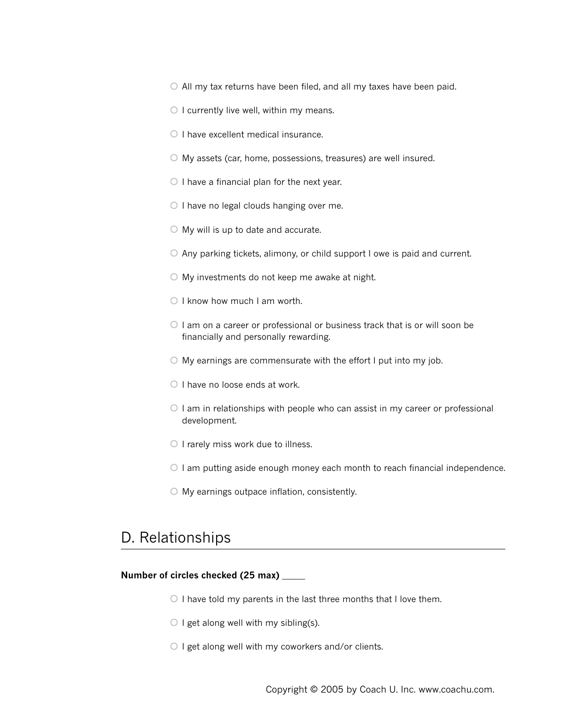$\circ$  All my tax returns have been filed, and all my taxes have been paid.

- $\circ$  I currently live well, within my means.
- $\circ$  I have excellent medical insurance.
- My assets (car, home, possessions, treasures) are well insured.
- $\circ$  I have a financial plan for the next year.
- $\circ$  I have no legal clouds hanging over me.
- $\bigcirc$  My will is up to date and accurate.
- $\circ$  Any parking tickets, alimony, or child support I owe is paid and current.
- My investments do not keep me awake at night.
- $\bigcirc$  I know how much I am worth.
- $\circ$  I am on a career or professional or business track that is or will soon be financially and personally rewarding.
- $\circ$  My earnings are commensurate with the effort I put into my job.
- $\circ$  I have no loose ends at work.
- $\circ$  I am in relationships with people who can assist in my career or professional development.
- $\circ$  I rarely miss work due to illness.
- $\circ$  I am putting aside enough money each month to reach financial independence.
- $\circ$  My earnings outpace inflation, consistently.

## D. Relationships

- $\circ$  I have told my parents in the last three months that I love them.
- $\bigcirc$  I get along well with my sibling(s).
- $\circ$  I get along well with my coworkers and/or clients.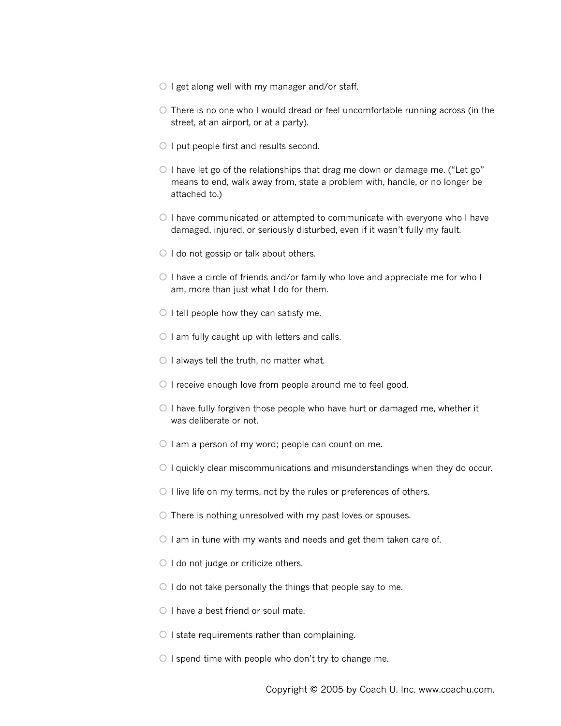- $\circ$  I get along well with my manager and/or staff.
- $\circ$  There is no one who I would dread or feel uncomfortable running across (in the street, at an airport, or at a party).
- $\bigcirc$  I put people first and results second.
- $\circ$  I have let go of the relationships that drag me down or damage me. ("Let go" means to end, walk away from, state a problem with, handle, or no longer be attached to.)
- $\circ$  I have communicated or attempted to communicate with everyone who I have damaged, injured, or seriously disturbed, even if it wasn't fully my fault.
- $\bigcirc$  I do not gossip or talk about others.
- $\circ$  I have a circle of friends and/or family who love and appreciate me for who I am, more than just what I do for them.
- $\bigcirc$  I tell people how they can satisfy me.
- $\circ$  I am fully caught up with letters and calls.
- $\circ$  I always tell the truth, no matter what.
- $\circ$  I receive enough love from people around me to feel good.
- $\circ$  I have fully forgiven those people who have hurt or damaged me, whether it was deliberate or not.
- $\circ$  I am a person of my word; people can count on me.
- $\circ$  I quickly clear miscommunications and misunderstandings when they do occur.
- $\bigcirc$  I live life on my terms, not by the rules or preferences of others.
- $\circ$  There is nothing unresolved with my past loves or spouses.
- $\circ$  I am in tune with my wants and needs and get them taken care of.
- $\circ$  I do not judge or criticize others.
- $\circ$  I do not take personally the things that people say to me.
- $\circ$  I have a best friend or soul mate.
- $\circ$  I state requirements rather than complaining.
- $\circ$  I spend time with people who don't try to change me.